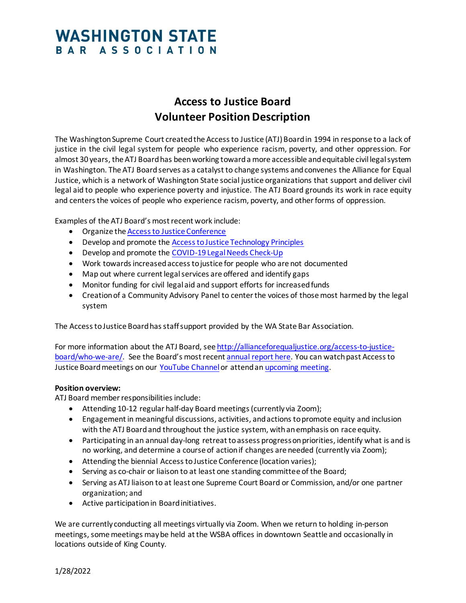## **WASHINGTON STATE** BAR ASSOCIATION

## **Access to Justice Board Volunteer Position Description**

The Washington Supreme Court created the Access to Justice (ATJ) Board in 1994 in response to a lack of justice in the civil legal system for people who experience racism, poverty, and other oppression. For almost 30 years, the ATJ Board has been working toward a more accessible and equitable civil legal system in Washington. The ATJ Board serves as a catalyst to change systems and convenes the Alliance for Equal Justice, which is a network of Washington State social justice organizations that support and deliver civil legal aid to people who experience poverty and injustice. The ATJ Board grounds its work in race equity and centers the voices of people who experience racism, poverty, and other forms of oppression.

Examples of the ATJ Board's most recent work include:

- Organize th[e Access to Justice Conference](http://allianceforequaljustice.org/accesstojusticeconference/)
- Develop and promote th[e Access to Justice Technology Principles](https://www.courts.wa.gov/court_rules/?fa=court_rules.list&group=am&set=ATJ)
- Develop and promote th[e COVID-19 Legal Needs Check-Up](http://allianceforequaljustice.org/for-the-alliance/covid19resources/)
- Work towards increased access to justice for people who are not documented
- Map out where current legal services are offered and identify gaps
- Monitor funding for civil legal aid and support efforts for increased funds
- Creation of a Community Advisory Panel to center the voices of those most harmed by the legal system

The Access to Justice Board has staff support provided by the WA State Bar Association.

For more information about the ATJ Board, se[e http://allianceforequaljustice.org/access-to-justice](http://allianceforequaljustice.org/access-to-justice-board/who-we-are/)[board/who-we-are/.](http://allianceforequaljustice.org/access-to-justice-board/who-we-are/) See the Board's most recent [annual report](https://drive.google.com/file/d/1gTKHie-UAEdNlmN-46SDjkgczaBy1AI7/view?usp=sharing) here. You can watch past Access to Justice Board meetings on our [YouTube Channel](https://www.youtube.com/channel/UC_kfyopU7JBYLQanPSDPZaQ) or attend a[n upcoming meeting.](http://allianceforequaljustice.org/access-to-justice-board/meetings/)

## **Position overview:**

ATJ Board member responsibilities include:

- Attending 10-12 regular half-day Board meetings (currently via Zoom);
- Engagement in meaningful discussions, activities, and actions to promote equity and inclusion with the ATJ Boardand throughout the justice system, with an emphasis on race equity.
- Participating in an annual day-long retreat to assess progress on priorities, identify what is and is no working, and determine a course of action if changes are needed (currently via Zoom);
- Attending the biennial Access to Justice Conference (location varies);
- Serving as co-chair or liaison to at least one standing committee of the Board;
- Serving as ATJ liaison to at least one Supreme Court Board or Commission, and/or one partner organization; and
- Active participation in Board initiatives.

We are currently conducting all meetings virtually via Zoom. When we return to holding in-person meetings, some meetings may be held at the WSBA offices in downtown Seattle and occasionally in locations outside of King County.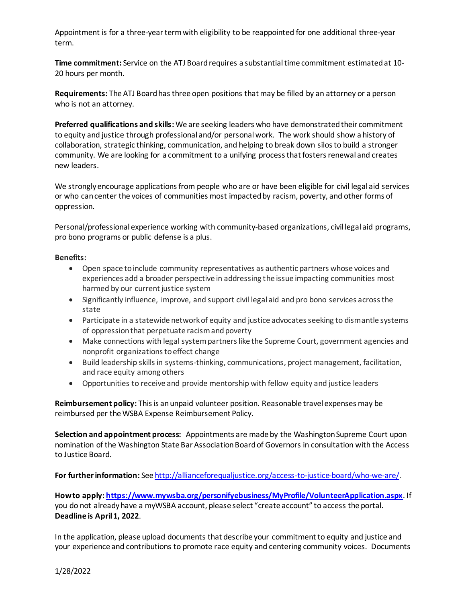Appointment is for a three-year term with eligibility to be reappointed for one additional three-year term.

**Time commitment:** Service on the ATJ Board requires a substantial time commitment estimated at 10- 20 hours per month.

**Requirements:** The ATJ Board has three open positions that may be filled by an attorney or a person who is not an attorney.

**Preferred qualifications and skills:** We are seeking leaders who have demonstrated their commitment to equity and justice through professional and/or personal work. The work should show a history of collaboration, strategic thinking, communication, and helping to break down silos to build a stronger community. We are looking for a commitment to a unifying process that fosters renewal and creates new leaders.

We strongly encourage applications from people who are or have been eligible for civil legal aid services or who can center the voices of communities most impacted by racism, poverty, and other forms of oppression.

Personal/professional experience working with community-based organizations, civil legal aid programs, pro bono programs or public defense is a plus.

## **Benefits:**

- Open space to include community representatives as authentic partners whose voices and experiences add a broader perspective in addressing the issue impacting communities most harmed by our current justice system
- Significantly influence, improve, and support civil legal aid and pro bono services across the state
- Participate in a statewide network of equity and justice advocates seeking to dismantle systems of oppression that perpetuate racism and poverty
- Make connections with legal system partners like the Supreme Court, government agencies and nonprofit organizations to effect change
- Build leadership skills in systems-thinking, communications, project management, facilitation, and race equity among others
- Opportunities to receive and provide mentorship with fellow equity and justice leaders

**Reimbursement policy:** This is an unpaid volunteer position. Reasonable travel expenses may be reimbursed per the WSBA Expense Reimbursement Policy.

**Selection and appointment process:** Appointments are made by the Washington Supreme Court upon nomination of the Washington State Bar Association Board of Governors in consultation with the Access to Justice Board.

**For further information:** Se[e http://allianceforequaljustice.org/access-to-justice-board/who-we-are/.](http://allianceforequaljustice.org/access-to-justice-board/who-we-are/)

**How to apply[: https://www.mywsba.org/personifyebusiness/MyProfile/VolunteerApplication.aspx](https://www.mywsba.org/personifyebusiness/MyProfile/VolunteerApplication.aspx)**. If you do not already have a myWSBA account, please select "create account" to access the portal. **Deadline is April 1, 2022**.

In the application, please upload documents that describe your commitment to equity and justice and your experience and contributions to promote race equity and centering community voices. Documents